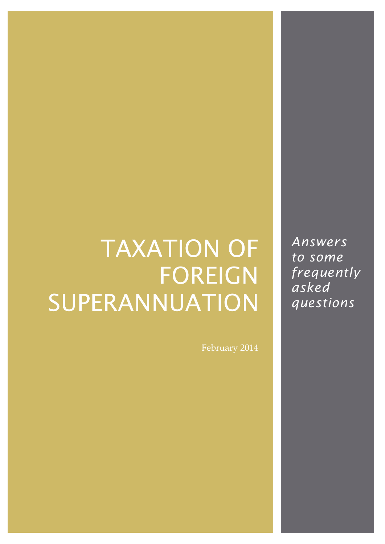# **TAXATION OF FOREIGN** SUPERANNUATION

*Answers to some frequently asked questions*

February 2014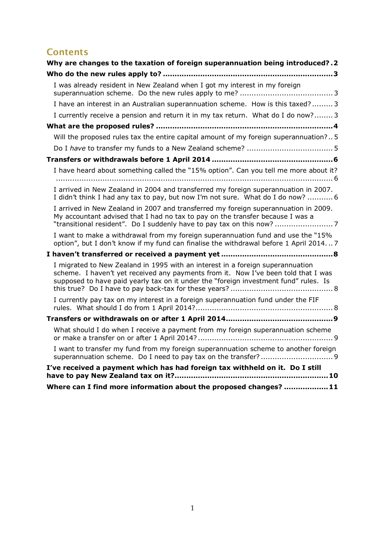### **Contents**

| Why are changes to the taxation of foreign superannuation being introduced?.2                                                                                                                                                                                |
|--------------------------------------------------------------------------------------------------------------------------------------------------------------------------------------------------------------------------------------------------------------|
|                                                                                                                                                                                                                                                              |
| I was already resident in New Zealand when I got my interest in my foreign                                                                                                                                                                                   |
| I have an interest in an Australian superannuation scheme. How is this taxed? 3                                                                                                                                                                              |
| I currently receive a pension and return it in my tax return. What do I do now? 3                                                                                                                                                                            |
|                                                                                                                                                                                                                                                              |
| Will the proposed rules tax the entire capital amount of my foreign superannuation?5                                                                                                                                                                         |
|                                                                                                                                                                                                                                                              |
|                                                                                                                                                                                                                                                              |
| I have heard about something called the "15% option". Can you tell me more about it?                                                                                                                                                                         |
| I arrived in New Zealand in 2004 and transferred my foreign superannuation in 2007.<br>I didn't think I had any tax to pay, but now I'm not sure. What do I do now?  6                                                                                       |
| I arrived in New Zealand in 2007 and transferred my foreign superannuation in 2009.<br>My accountant advised that I had no tax to pay on the transfer because I was a<br>"transitional resident". Do I suddenly have to pay tax on this now? 7               |
| I want to make a withdrawal from my foreign superannuation fund and use the "15%<br>option", but I don't know if my fund can finalise the withdrawal before 1 April 20147                                                                                    |
|                                                                                                                                                                                                                                                              |
| I migrated to New Zealand in 1995 with an interest in a foreign superannuation<br>scheme. I haven't yet received any payments from it. Now I've been told that I was<br>supposed to have paid yearly tax on it under the "foreign investment fund" rules. Is |
| I currently pay tax on my interest in a foreign superannuation fund under the FIF                                                                                                                                                                            |
|                                                                                                                                                                                                                                                              |
| What should I do when I receive a payment from my foreign superannuation scheme                                                                                                                                                                              |
| I want to transfer my fund from my foreign superannuation scheme to another foreign                                                                                                                                                                          |
| I've received a payment which has had foreign tax withheld on it. Do I still                                                                                                                                                                                 |
| Where can I find more information about the proposed changes? 11                                                                                                                                                                                             |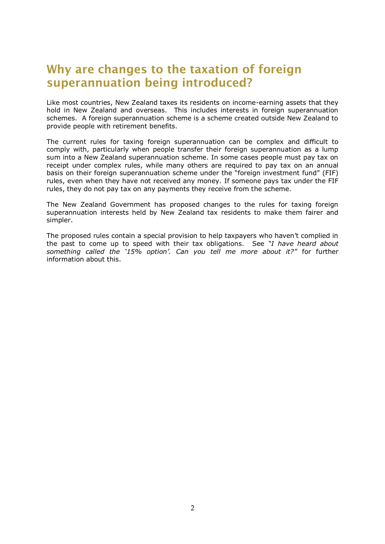## <span id="page-2-0"></span>**Why are changes to the taxation of foreign superannuation being introduced?**

Like most countries, New Zealand taxes its residents on income-earning assets that they hold in New Zealand and overseas. This includes interests in foreign superannuation schemes. A foreign superannuation scheme is a scheme created outside New Zealand to provide people with retirement benefits.

The current rules for taxing foreign superannuation can be complex and difficult to comply with, particularly when people transfer their foreign superannuation as a lump sum into a New Zealand superannuation scheme. In some cases people must pay tax on receipt under complex rules, while many others are required to pay tax on an annual basis on their foreign superannuation scheme under the "foreign investment fund" (FIF) rules, even when they have not received any money. If someone pays tax under the FIF rules, they do not pay tax on any payments they receive from the scheme.

The New Zealand Government has proposed changes to the rules for taxing foreign superannuation interests held by New Zealand tax residents to make them fairer and simpler.

The proposed rules contain a special provision to help taxpayers who haven't complied in the past to come up to speed with their tax obligations. See *"I have heard about something called the "15% option". Can you tell me more about it?"* for further information about this.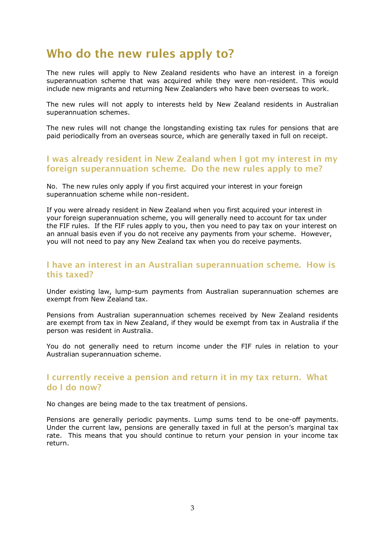## <span id="page-3-0"></span>**Who do the new rules apply to?**

The new rules will apply to New Zealand residents who have an interest in a foreign superannuation scheme that was acquired while they were non-resident. This would include new migrants and returning New Zealanders who have been overseas to work.

The new rules will not apply to interests held by New Zealand residents in Australian superannuation schemes.

The new rules will not change the longstanding existing tax rules for pensions that are paid periodically from an overseas source, which are generally taxed in full on receipt.

#### <span id="page-3-1"></span>**I was already resident in New Zealand when I got my interest in my foreign superannuation scheme. Do the new rules apply to me?**

No. The new rules only apply if you first acquired your interest in your foreign superannuation scheme while non-resident.

If you were already resident in New Zealand when you first acquired your interest in your foreign superannuation scheme, you will generally need to account for tax under the FIF rules. If the FIF rules apply to you, then you need to pay tax on your interest on an annual basis even if you do not receive any payments from your scheme. However, you will not need to pay any New Zealand tax when you do receive payments.

#### <span id="page-3-2"></span>**I have an interest in an Australian superannuation scheme. How is this taxed?**

Under existing law, lump-sum payments from Australian superannuation schemes are exempt from New Zealand tax.

Pensions from Australian superannuation schemes received by New Zealand residents are exempt from tax in New Zealand, if they would be exempt from tax in Australia if the person was resident in Australia.

You do not generally need to return income under the FIF rules in relation to your Australian superannuation scheme.

#### <span id="page-3-3"></span>**I currently receive a pension and return it in my tax return. What do I do now?**

No changes are being made to the tax treatment of pensions.

Pensions are generally periodic payments. Lump sums tend to be one-off payments. Under the current law, pensions are generally taxed in full at the person's marginal tax rate. This means that you should continue to return your pension in your income tax return.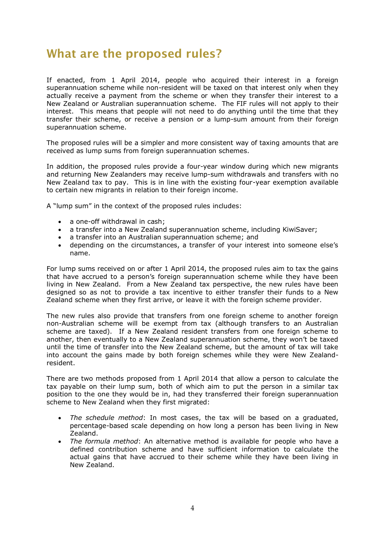## <span id="page-4-0"></span>**What are the proposed rules?**

If enacted, from 1 April 2014, people who acquired their interest in a foreign superannuation scheme while non-resident will be taxed on that interest only when they actually receive a payment from the scheme or when they transfer their interest to a New Zealand or Australian superannuation scheme. The FIF rules will not apply to their interest. This means that people will not need to do anything until the time that they transfer their scheme, or receive a pension or a lump-sum amount from their foreign superannuation scheme.

The proposed rules will be a simpler and more consistent way of taxing amounts that are received as lump sums from foreign superannuation schemes.

In addition, the proposed rules provide a four-year window during which new migrants and returning New Zealanders may receive lump-sum withdrawals and transfers with no New Zealand tax to pay. This is in line with the existing four-year exemption available to certain new migrants in relation to their foreign income.

A "lump sum" in the context of the proposed rules includes:

- a one-off withdrawal in cash:
- a transfer into a New Zealand superannuation scheme, including KiwiSaver;
- a transfer into an Australian superannuation scheme; and
- depending on the circumstances, a transfer of your interest into someone else's name.

For lump sums received on or after 1 April 2014, the proposed rules aim to tax the gains that have accrued to a person's foreign superannuation scheme while they have been living in New Zealand. From a New Zealand tax perspective, the new rules have been designed so as not to provide a tax incentive to either transfer their funds to a New Zealand scheme when they first arrive, or leave it with the foreign scheme provider.

The new rules also provide that transfers from one foreign scheme to another foreign non-Australian scheme will be exempt from tax (although transfers to an Australian scheme are taxed). If a New Zealand resident transfers from one foreign scheme to another, then eventually to a New Zealand superannuation scheme, they won't be taxed until the time of transfer into the New Zealand scheme, but the amount of tax will take into account the gains made by both foreign schemes while they were New Zealandresident.

There are two methods proposed from 1 April 2014 that allow a person to calculate the tax payable on their lump sum, both of which aim to put the person in a similar tax position to the one they would be in, had they transferred their foreign superannuation scheme to New Zealand when they first migrated:

- *The schedule method*: In most cases, the tax will be based on a graduated, percentage-based scale depending on how long a person has been living in New Zealand.
- *The formula method*: An alternative method is available for people who have a defined contribution scheme and have sufficient information to calculate the actual gains that have accrued to their scheme while they have been living in New Zealand.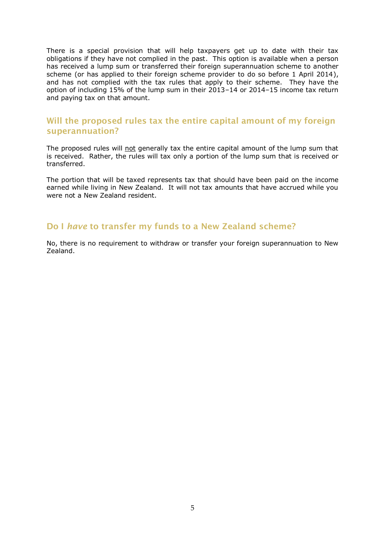There is a special provision that will help taxpayers get up to date with their tax obligations if they have not complied in the past. This option is available when a person has received a lump sum or transferred their foreign superannuation scheme to another scheme (or has applied to their foreign scheme provider to do so before 1 April 2014), and has not complied with the tax rules that apply to their scheme. They have the option of including 15% of the lump sum in their 2013–14 or 2014–15 income tax return and paying tax on that amount.

#### <span id="page-5-0"></span>**Will the proposed rules tax the entire capital amount of my foreign superannuation?**

The proposed rules will not generally tax the entire capital amount of the lump sum that is received. Rather, the rules will tax only a portion of the lump sum that is received or transferred.

The portion that will be taxed represents tax that should have been paid on the income earned while living in New Zealand. It will not tax amounts that have accrued while you were not a New Zealand resident.

#### <span id="page-5-1"></span>**Do I** *have* **to transfer my funds to a New Zealand scheme?**

No, there is no requirement to withdraw or transfer your foreign superannuation to New Zealand.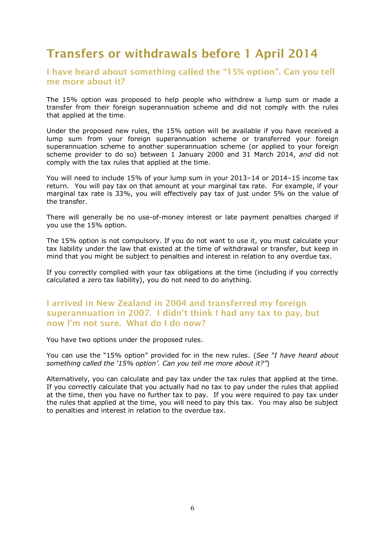## <span id="page-6-0"></span>**Transfers or withdrawals before 1 April 2014**

#### <span id="page-6-1"></span>**I have heard about something called the "15% option". Can you tell me more about it?**

The 15% option was proposed to help people who withdrew a lump sum or made a transfer from their foreign superannuation scheme and did not comply with the rules that applied at the time.

Under the proposed new rules, the 15% option will be available if you have received a lump sum from your foreign superannuation scheme or transferred your foreign superannuation scheme to another superannuation scheme (or applied to your foreign scheme provider to do so) between 1 January 2000 and 31 March 2014, *and* did not comply with the tax rules that applied at the time.

You will need to include 15% of your lump sum in your 2013–14 or 2014–15 income tax return. You will pay tax on that amount at your marginal tax rate. For example, if your marginal tax rate is 33%, you will effectively pay tax of just under 5% on the value of the transfer.

There will generally be no use-of-money interest or late payment penalties charged if you use the 15% option.

The 15% option is not compulsory. If you do not want to use it, you must calculate your tax liability under the law that existed at the time of withdrawal or transfer, but keep in mind that you might be subject to penalties and interest in relation to any overdue tax.

If you correctly complied with your tax obligations at the time (including if you correctly calculated a zero tax liability), you do not need to do anything.

#### <span id="page-6-2"></span>**I arrived in New Zealand in 2004 and transferred my foreign superannuation in 2007. I didn't think I had any tax to pay, but now I'm not sure. What do I do now?**

You have two options under the proposed rules.

You can use the "15% option" provided for in the new rules. (*See "I have heard about something called the "15% option". Can you tell me more about it?"*)

<span id="page-6-3"></span>Alternatively, you can calculate and pay tax under the tax rules that applied at the time. If you correctly calculate that you actually had no tax to pay under the rules that applied at the time, then you have no further tax to pay. If you were required to pay tax under the rules that applied at the time, you will need to pay this tax. You may also be subject to penalties and interest in relation to the overdue tax.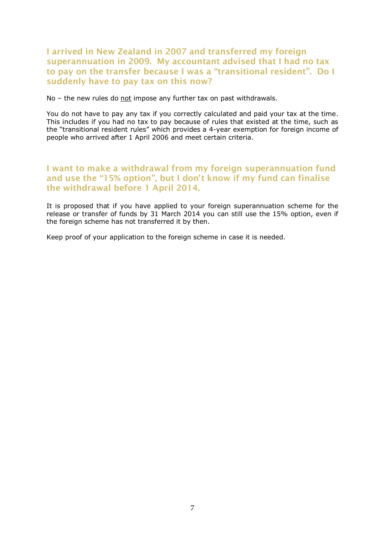#### **I arrived in New Zealand in 2007 and transferred my foreign superannuation in 2009. My accountant advised that I had no tax to pay on the transfer because I was a "transitional resident". Do I suddenly have to pay tax on this now?**

No – the new rules do not impose any further tax on past withdrawals.

You do not have to pay any tax if you correctly calculated and paid your tax at the time. This includes if you had no tax to pay because of rules that existed at the time, such as the "transitional resident rules" which provides a 4-year exemption for foreign income of people who arrived after 1 April 2006 and meet certain criteria.

#### <span id="page-7-0"></span>**I want to make a withdrawal from my foreign superannuation fund and use the "15% option", but I don't know if my fund can finalise the withdrawal before 1 April 2014.**

It is proposed that if you have applied to your foreign superannuation scheme for the release or transfer of funds by 31 March 2014 you can still use the 15% option, even if the foreign scheme has not transferred it by then.

Keep proof of your application to the foreign scheme in case it is needed.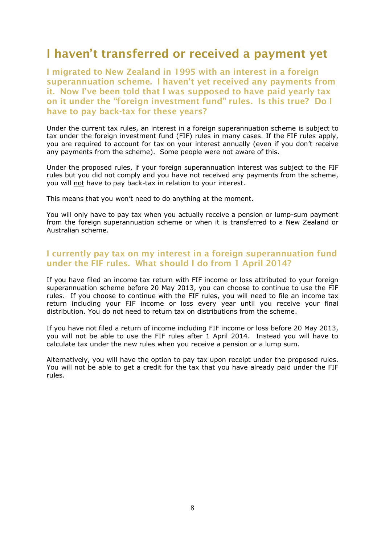## <span id="page-8-0"></span>**I haven't transferred or received a payment yet**

<span id="page-8-1"></span>**I migrated to New Zealand in 1995 with an interest in a foreign superannuation scheme. I haven't yet received any payments from it. Now I've been told that I was supposed to have paid yearly tax on it under the "foreign investment fund" rules. Is this true? Do I have to pay back-tax for these years?**

Under the current tax rules, an interest in a foreign superannuation scheme is subject to tax under the foreign investment fund (FIF) rules in many cases. If the FIF rules apply, you are required to account for tax on your interest annually (even if you don't receive any payments from the scheme). Some people were not aware of this.

Under the proposed rules, if your foreign superannuation interest was subject to the FIF rules but you did not comply and you have not received any payments from the scheme, you will not have to pay back-tax in relation to your interest.

This means that you won't need to do anything at the moment.

You will only have to pay tax when you actually receive a pension or lump-sum payment from the foreign superannuation scheme or when it is transferred to a New Zealand or Australian scheme.

#### <span id="page-8-2"></span>**I currently pay tax on my interest in a foreign superannuation fund under the FIF rules. What should I do from 1 April 2014?**

If you have filed an income tax return with FIF income or loss attributed to your foreign superannuation scheme before 20 May 2013, you can choose to continue to use the FIF rules. If you choose to continue with the FIF rules, you will need to file an income tax return including your FIF income or loss every year until you receive your final distribution. You do not need to return tax on distributions from the scheme.

If you have not filed a return of income including FIF income or loss before 20 May 2013, you will not be able to use the FIF rules after 1 April 2014. Instead you will have to calculate tax under the new rules when you receive a pension or a lump sum.

Alternatively, you will have the option to pay tax upon receipt under the proposed rules. You will not be able to get a credit for the tax that you have already paid under the FIF rules.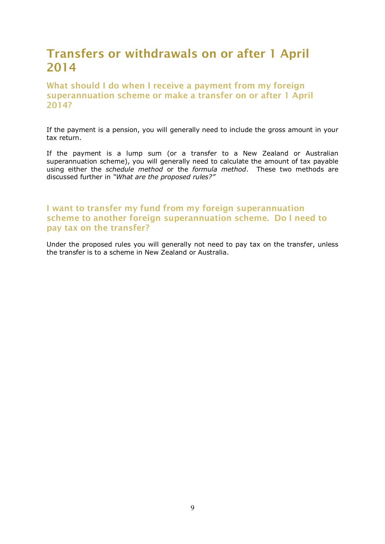## <span id="page-9-0"></span>**Transfers or withdrawals on or after 1 April 2014**

<span id="page-9-1"></span>**What should I do when I receive a payment from my foreign superannuation scheme or make a transfer on or after 1 April 2014?**

If the payment is a pension, you will generally need to include the gross amount in your tax return.

If the payment is a lump sum (or a transfer to a New Zealand or Australian superannuation scheme), you will generally need to calculate the amount of tax payable using either the *schedule method* or the *formula method*. These two methods are discussed further in *"What are the proposed rules?"*

#### <span id="page-9-2"></span>**I want to transfer my fund from my foreign superannuation scheme to another foreign superannuation scheme. Do I need to pay tax on the transfer?**

Under the proposed rules you will generally not need to pay tax on the transfer, unless the transfer is to a scheme in New Zealand or Australia.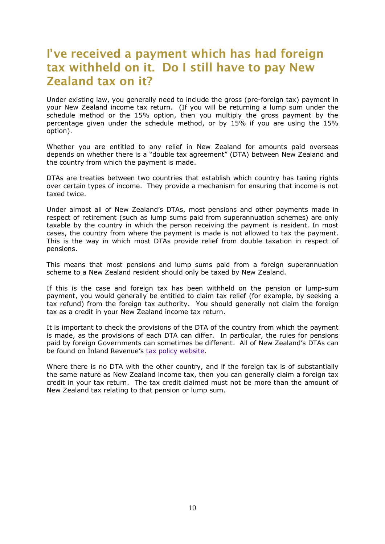## <span id="page-10-0"></span>**I've received a payment which has had foreign tax withheld on it. Do I still have to pay New Zealand tax on it?**

Under existing law, you generally need to include the gross (pre-foreign tax) payment in your New Zealand income tax return. (If you will be returning a lump sum under the schedule method or the 15% option, then you multiply the gross payment by the percentage given under the schedule method, or by 15% if you are using the 15% option).

Whether you are entitled to any relief in New Zealand for amounts paid overseas depends on whether there is a "double tax agreement" (DTA) between New Zealand and the country from which the payment is made.

DTAs are treaties between two countries that establish which country has taxing rights over certain types of income. They provide a mechanism for ensuring that income is not taxed twice.

Under almost all of New Zealand's DTAs, most pensions and other payments made in respect of retirement (such as lump sums paid from superannuation schemes) are only taxable by the country in which the person receiving the payment is resident. In most cases, the country from where the payment is made is not allowed to tax the payment. This is the way in which most DTAs provide relief from double taxation in respect of pensions.

This means that most pensions and lump sums paid from a foreign superannuation scheme to a New Zealand resident should only be taxed by New Zealand.

If this is the case and foreign tax has been withheld on the pension or lump-sum payment, you would generally be entitled to claim tax relief (for example, by seeking a tax refund) from the foreign tax authority. You should generally not claim the foreign tax as a credit in your New Zealand income tax return.

It is important to check the provisions of the DTA of the country from which the payment is made, as the provisions of each DTA can differ. In particular, the rules for pensions paid by foreign Governments can sometimes be different. All of New Zealand's DTAs can be found on Inland Revenue's [tax policy website.](http://www.taxpolicy.ird.govt.nz/)

Where there is no DTA with the other country, and if the foreign tax is of substantially the same nature as New Zealand income tax, then you can generally claim a foreign tax credit in your tax return. The tax credit claimed must not be more than the amount of New Zealand tax relating to that pension or lump sum.